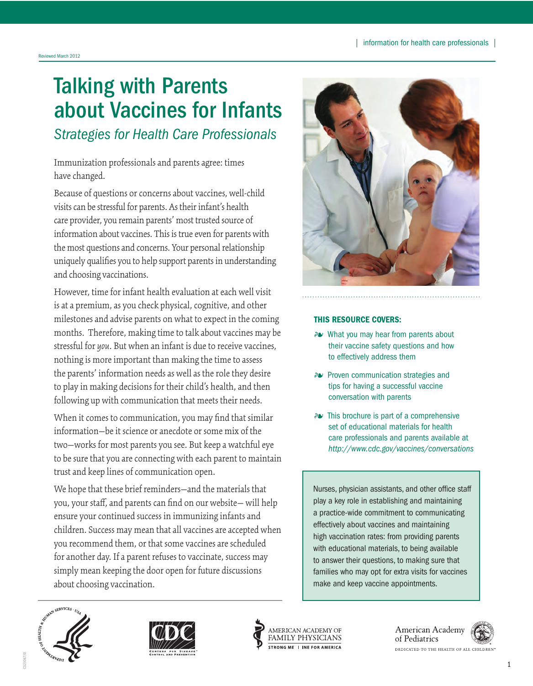# Talking with Parents about Vaccines for Infants *Strategies for Health Care Professionals*

Immunization professionals and parents agree: times have changed.

Because of questions or concerns about vaccines, well-child visits can be stressful for parents. As their infant's health care provider, you remain parents' most trusted source of information about vaccines. This is true even for parents with the most questions and concerns. Your personal relationship uniquely qualifies you to help support parents in understanding and choosing vaccinations.

However, time for infant health evaluation at each well visit is at a premium, as you check physical, cognitive, and other milestones and advise parents on what to expect in the coming months. Therefore, making time to talk about vaccines may be stressful for *you*. But when an infant is due to receive vaccines, nothing is more important than making the time to assess the parents' information needs as well as the role they desire to play in making decisions for their child's health, and then following up with communication that meets their needs.

When it comes to communication, you may find that similar information—be it science or anecdote or some mix of the two—works for most parents you see. But keep a watchful eye to be sure that you are connecting with each parent to maintain trust and keep lines of communication open.

We hope that these brief reminders—and the materials that you, your staff, and parents can find on our website— will help ensure your continued success in immunizing infants and children. Success may mean that all vaccines are accepted when you recommend them, or that some vaccines are scheduled for another day. If a parent refuses to vaccinate, success may simply mean keeping the door open for future discussions about choosing vaccination.



#### THIS RESOURCE COVERS:

- 4 What you may hear from parents about their vaccine safety questions and how to effectively address them
- 4 Proven communication strategies and tips for having a successful vaccine conversation with parents
- 4 This brochure is part of a comprehensive set of educational materials for health care professionals and parents available at *http://www.cdc.gov/vaccines/conversations*

Nurses, physician assistants, and other office staff play a key role in establishing and maintaining a practice-wide commitment to communicating effectively about vaccines and maintaining high vaccination rates: from providing parents with educational materials, to being available to answer their questions, to making sure that families who may opt for extra visits for vaccines make and keep vaccine appointments.







American Academy of Pediatrics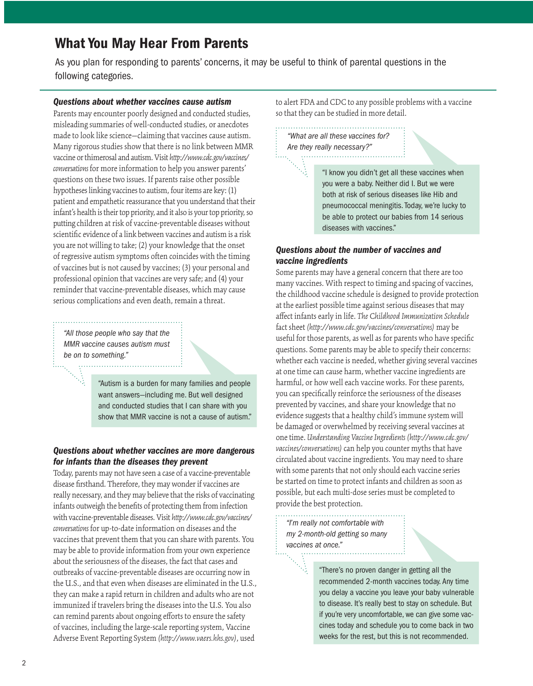# What You May Hear From Parents

As you plan for responding to parents' concerns, it may be useful to think of parental questions in the following categories.

#### *Questions about whether vaccines cause autism*

J Parents may encounter poorly designed and conducted studies, misleading summaries of well-conducted studies, or anecdotes made to look like science—claiming that vaccines cause autism. Many rigorous studies show that there is no link between MMR vaccine or thimerosal and autism. Visit *http://www.cdc.gov/vaccines/ conversations* for more information to help you answer parents' questions on these two issues. If parents raise other possible hypotheses linking vaccines to autism, four items are key: (1) patient and empathetic reassurance that you understand that their infant's health is their top priority, and it also is your top priority, so putting children at risk of vaccine-preventable diseases without scientific evidence of a link between vaccines and autism is a risk you are not willing to take; (2) your knowledge that the onset of regressive autism symptoms often coincides with the timing of vaccines but is not caused by vaccines; (3) your personal and professional opinion that vaccines are very safe; and (4) your reminder that vaccine-preventable diseases, which may cause serious complications and even death, remain a threat.

*"All those people who say that the MMR vaccine causes autism must be on to something."* 

 $\mathbb{Z}$ 

"Autism is a burden for many families and people want answers—including me. But well designed and conducted studies that I can share with you show that MMR vaccine is not a cause of autism."

#### *Questions about whether vaccines are more dangerous for infants than the diseases they prevent*

Today, parents may not have seen a case of a vaccine-preventable disease firsthand. Therefore, they may wonder if vaccines are really necessary, and they may believe that the risks of vaccinating infants outweigh the benefits of protecting them from infection with vaccine-preventable diseases. Visit *http://www.cdc.gov/vaccines/ conversations* for up-to-date information on diseases and the vaccines that prevent them that you can share with parents. You may be able to provide information from your own experience about the seriousness of the diseases, the fact that cases and outbreaks of vaccine-preventable diseases are occurring now in the U.S., and that even when diseases are eliminated in the U.S., they can make a rapid return in children and adults who are not immunized if travelers bring the diseases into the U.S. You also can remind parents about ongoing efforts to ensure the safety of vaccines, including the large-scale reporting system, Vaccine Adverse Event Reporting System *(http://www.vaers.hhs.gov)*, used

to alert FDA and CDC to any possible problems with a vaccine so that they can be studied in more detail.

*"What are all these vaccines for? Are they really necessary?"* 

N.

"I know you didn't get all these vaccines when you were a baby. Neither did I. But we were both at risk of serious diseases like Hib and pneumococcal meningitis. Today, we're lucky to be able to protect our babies from 14 serious diseases with vaccines."

### *Questions about the number of vaccines and vaccine ingredients*

Some parents may have a general concern that there are too many vaccines. With respect to timing and spacing of vaccines, the childhood vaccine schedule is designed to provide protection at the earliest possible time against serious diseases that may affect infants early in life. *The* C*hildhood Immunization Schedule*  fact sheet *(http://www.cdc.gov/vaccines/conversations)* may be useful for those parents, as well as for parents who have specific questions. Some parents may be able to specify their concerns: whether each vaccine is needed, whether giving several vaccines at one time can cause harm, whether vaccine ingredients are harmful, or how well each vaccine works. For these parents, you can specifically reinforce the seriousness of the diseases prevented by vaccines, and share your knowledge that no evidence suggests that a healthy child's immune system will be damaged or overwhelmed by receiving several vaccines at one time. *Understanding Vaccine Ingredients (http://www.cdc.gov/ vaccines/conversations)* can help you counter myths that have circulated about vaccine ingredients. You may need to share with some parents that not only should each vaccine series be started on time to protect infants and children as soon as possible, but each multi-dose series must be completed to provide the best protection.

*"I'm really not comfortable with my 2-month-old getting so many vaccines at once."* 

 $\mathbb{N}_k$ 

"There's no proven danger in getting all the recommended 2-month vaccines today. Any time you delay a vaccine you leave your baby vulnerable to disease. It's really best to stay on schedule. But if you're very uncomfortable, we can give some vaccines today and schedule you to come back in two weeks for the rest, but this is not recommended.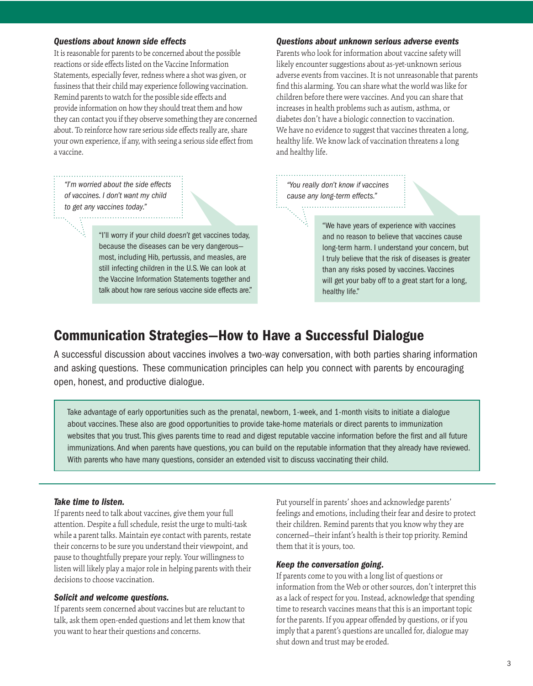#### *Questions about known side effects*

It is reasonable for parents to be concerned about the possible reactions or side effects listed on the Vaccine Information Statements, especially fever, redness where a shot was given, or fussiness that their child may experience following vaccination. Remind parents to watch for the possible side effects and provide information on how they should treat them and how they can contact you if they observe something they are concerned about. To reinforce how rare serious side effects really are, share your own experience, if any, with seeing a serious side effect from a vaccine.

*"I'm worried about the side effects of vaccines. I don't want my child to get any vaccines today."*  

> "I'll worry if your child *doesn't* get vaccines today, because the diseases can be very dangerous most, including Hib, pertussis, and measles, are still infecting children in the U.S. We can look at the Vaccine Information Statements together and talk about how rare serious vaccine side effects are."

#### *Questions about unknown serious adverse events*

Parents who look for information about vaccine safety will likely encounter suggestions about as-yet-unknown serious adverse events from vaccines. It is not unreasonable that parents find this alarming. You can share what the world was like for children before there were vaccines. And you can share that increases in health problems such as autism, asthma, or diabetes don't have a biologic connection to vaccination. We have no evidence to suggest that vaccines threaten a long, healthy life. We know lack of vaccination threatens a long and healthy life.

*"You really don't know if vaccines cause any long-term effects."* 

> "We have years of experience with vaccines and no reason to believe that vaccines cause long-term harm. I understand your concern, but I truly believe that the risk of diseases is greater than any risks posed by vaccines. Vaccines will get your baby off to a great start for a long, healthy life."

# Communication Strategies—How to Have a Successful Dialogue

 and asking questions. These communication principles can help you connect with parents by encouraging A successful discussion about vaccines involves a two-way conversation, with both parties sharing information open, honest, and productive dialogue.

Take advantage of early opportunities such as the prenatal, newborn, 1-week, and 1-month visits to initiate a dialogue about vaccines. These also are good opportunities to provide take-home materials or direct parents to immunization websites that you trust. This gives parents time to read and digest reputable vaccine information before the first and all future immunizations. And when parents have questions, you can build on the reputable information that they already have reviewed. With parents who have many questions, consider an extended visit to discuss vaccinating their child.

#### *Take time to listen.*

If parents need to talk about vaccines, give them your full attention. Despite a full schedule, resist the urge to multi-task while a parent talks. Maintain eye contact with parents, restate their concerns to be sure you understand their viewpoint, and pause to thoughtfully prepare your reply. Your willingness to listen will likely play a major role in helping parents with their decisions to choose vaccination.

#### *Solicit and welcome questions.*

If parents seem concerned about vaccines but are reluctant to talk, ask them open-ended questions and let them know that you want to hear their questions and concerns.

Put yourself in parents' shoes and acknowledge parents' feelings and emotions, including their fear and desire to protect their children. Remind parents that you know why they are concerned—their infant's health is their top priority. Remind them that it is yours, too.

#### *Keep the conversation going.*

If parents come to you with a long list of questions or information from the Web or other sources, don't interpret this as a lack of respect for you. Instead, acknowledge that spending time to research vaccines means that this is an important topic for the parents. If you appear offended by questions, or if you imply that a parent's questions are uncalled for, dialogue may shut down and trust may be eroded.